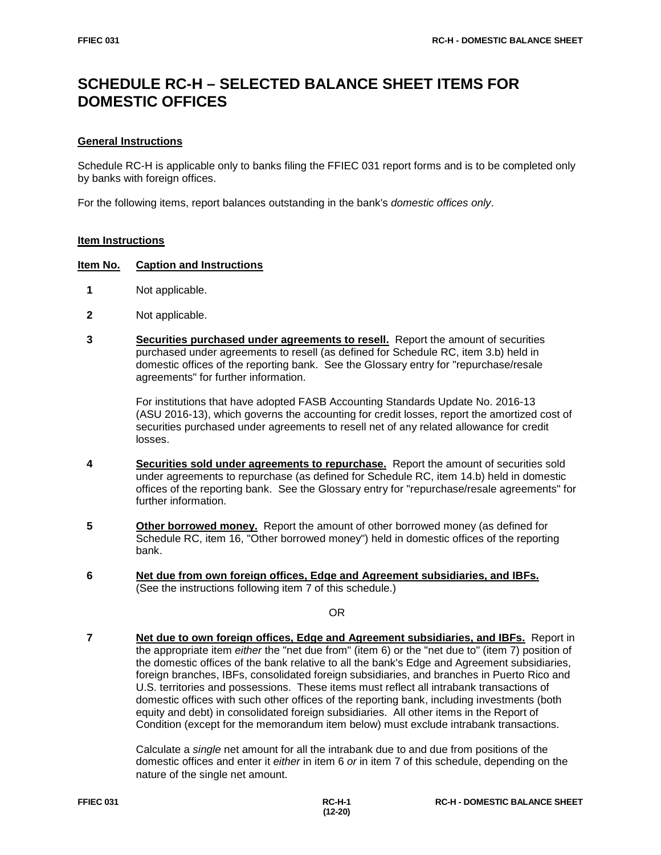# **SCHEDULE RC-H – SELECTED BALANCE SHEET ITEMS FOR DOMESTIC OFFICES**

## **General Instructions**

Schedule RC-H is applicable only to banks filing the FFIEC 031 report forms and is to be completed only by banks with foreign offices.

For the following items, report balances outstanding in the bank's *domestic offices only*.

# **Item Instructions**

### **Item No. Caption and Instructions**

- **1** Not applicable.
- **2** Not applicable.
- **3 Securities purchased under agreements to resell.** Report the amount of securities purchased under agreements to resell (as defined for Schedule RC, item 3.b) held in domestic offices of the reporting bank. See the Glossary entry for "repurchase/resale agreements" for further information.

For institutions that have adopted FASB Accounting Standards Update No. 2016-13 (ASU 2016-13), which governs the accounting for credit losses, report the amortized cost of securities purchased under agreements to resell net of any related allowance for credit losses.

- **4 Securities sold under agreements to repurchase.** Report the amount of securities sold under agreements to repurchase (as defined for Schedule RC, item 14.b) held in domestic offices of the reporting bank. See the Glossary entry for "repurchase/resale agreements" for further information.
- **5 Other borrowed money.** Report the amount of other borrowed money (as defined for Schedule RC, item 16, "Other borrowed money") held in domestic offices of the reporting bank.
- **6 Net due from own foreign offices, Edge and Agreement subsidiaries, and IBFs.** (See the instructions following item 7 of this schedule.)

OR

 **7 Net due to own foreign offices, Edge and Agreement subsidiaries, and IBFs.** Report in the appropriate item *either* the "net due from" (item 6) or the "net due to" (item 7) position of the domestic offices of the bank relative to all the bank's Edge and Agreement subsidiaries, foreign branches, IBFs, consolidated foreign subsidiaries, and branches in Puerto Rico and U.S. territories and possessions. These items must reflect all intrabank transactions of domestic offices with such other offices of the reporting bank, including investments (both equity and debt) in consolidated foreign subsidiaries. All other items in the Report of Condition (except for the memorandum item below) must exclude intrabank transactions.

> Calculate a *single* net amount for all the intrabank due to and due from positions of the domestic offices and enter it *either* in item 6 *or* in item 7 of this schedule, depending on the nature of the single net amount.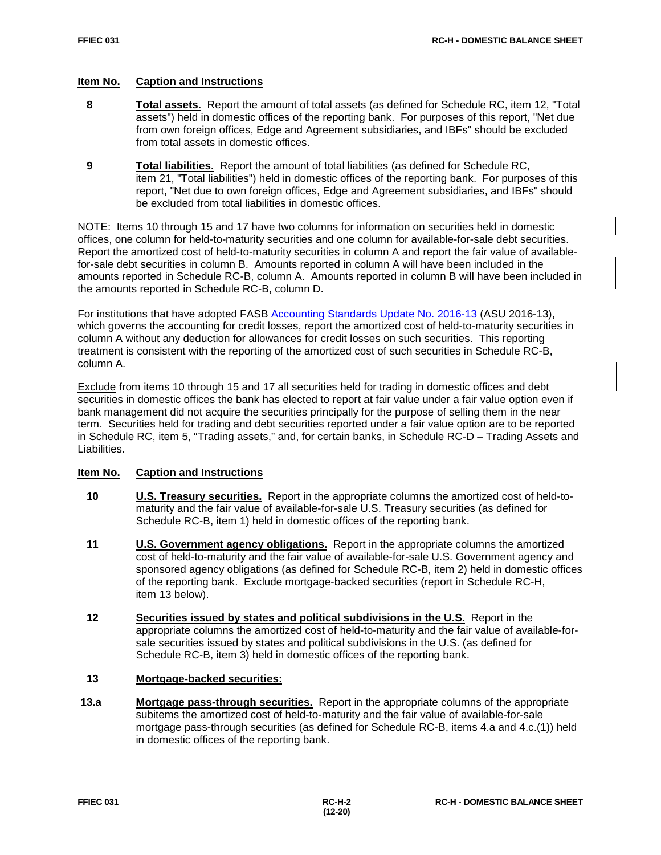### **Item No. Caption and Instructions**

- **8 Total assets.** Report the amount of total assets (as defined for Schedule RC, item 12, "Total assets") held in domestic offices of the reporting bank. For purposes of this report, "Net due from own foreign offices, Edge and Agreement subsidiaries, and IBFs" should be excluded from total assets in domestic offices.
- **9 Total liabilities.** Report the amount of total liabilities (as defined for Schedule RC, item 21, "Total liabilities") held in domestic offices of the reporting bank. For purposes of this report, "Net due to own foreign offices, Edge and Agreement subsidiaries, and IBFs" should be excluded from total liabilities in domestic offices.

NOTE: Items 10 through 15 and 17 have two columns for information on securities held in domestic offices, one column for held-to-maturity securities and one column for available-for-sale debt securities. Report the amortized cost of held-to-maturity securities in column A and report the fair value of availablefor-sale debt securities in column B. Amounts reported in column A will have been included in the amounts reported in Schedule RC-B, column A. Amounts reported in column B will have been included in the amounts reported in Schedule RC-B, column D.

For institutions that have adopted FASB [Accounting Standards Update No. 2016-13](https://www.fasb.org/jsp/FASB/Document_C/DocumentPage?cid=1176168232528&acceptedDisclaimer=true) (ASU 2016-13), which governs the accounting for credit losses, report the amortized cost of held-to-maturity securities in column A without any deduction for allowances for credit losses on such securities. This reporting treatment is consistent with the reporting of the amortized cost of such securities in Schedule RC-B, column A.

Exclude from items 10 through 15 and 17 all securities held for trading in domestic offices and debt securities in domestic offices the bank has elected to report at fair value under a fair value option even if bank management did not acquire the securities principally for the purpose of selling them in the near term. Securities held for trading and debt securities reported under a fair value option are to be reported in Schedule RC, item 5, "Trading assets," and, for certain banks, in Schedule RC-D – Trading Assets and Liabilities.

### **Item No. Caption and Instructions**

- **10 U.S. Treasury securities.** Report in the appropriate columns the amortized cost of held-tomaturity and the fair value of available-for-sale U.S. Treasury securities (as defined for Schedule RC-B, item 1) held in domestic offices of the reporting bank.
- **11 U.S. Government agency obligations.** Report in the appropriate columns the amortized cost of held-to-maturity and the fair value of available-for-sale U.S. Government agency and sponsored agency obligations (as defined for Schedule RC-B, item 2) held in domestic offices of the reporting bank. Exclude mortgage-backed securities (report in Schedule RC-H, item 13 below).
- **12 Securities issued by states and political subdivisions in the U.S.** Report in the appropriate columns the amortized cost of held-to-maturity and the fair value of available-forsale securities issued by states and political subdivisions in the U.S. (as defined for Schedule RC-B, item 3) held in domestic offices of the reporting bank.

#### **13 Mortgage-backed securities:**

**13.a Mortgage pass-through securities.** Report in the appropriate columns of the appropriate subitems the amortized cost of held-to-maturity and the fair value of available-for-sale mortgage pass-through securities (as defined for Schedule RC-B, items 4.a and 4.c.(1)) held in domestic offices of the reporting bank.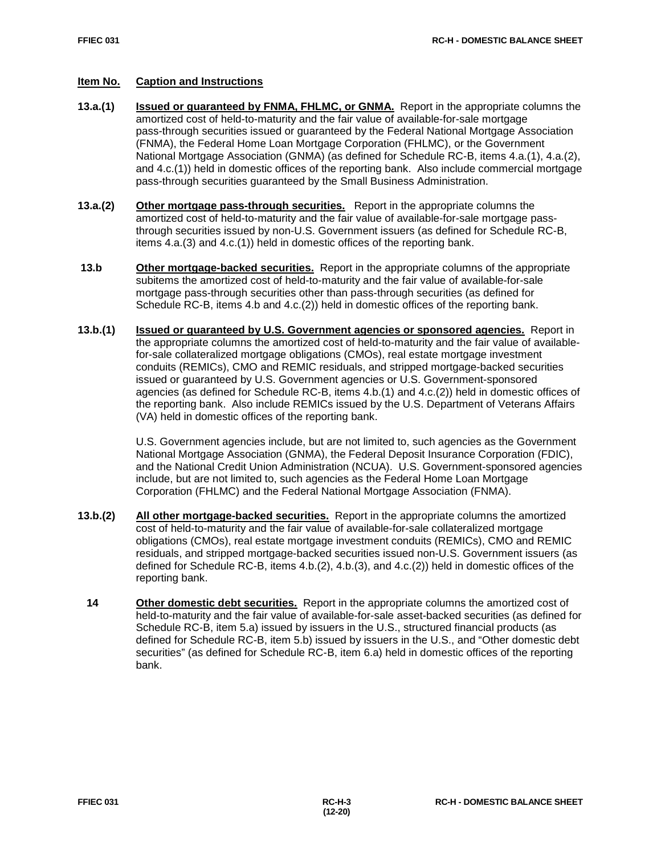# **Item No. Caption and Instructions**

- **13.a.(1) Issued or guaranteed by FNMA, FHLMC, or GNMA.** Report in the appropriate columns the amortized cost of held-to-maturity and the fair value of available-for-sale mortgage pass-through securities issued or guaranteed by the Federal National Mortgage Association (FNMA), the Federal Home Loan Mortgage Corporation (FHLMC), or the Government National Mortgage Association (GNMA) (as defined for Schedule RC-B, items 4.a.(1), 4.a.(2), and 4.c.(1)) held in domestic offices of the reporting bank. Also include commercial mortgage pass-through securities guaranteed by the Small Business Administration.
- **13.a.(2) Other mortgage pass-through securities.** Report in the appropriate columns the amortized cost of held-to-maturity and the fair value of available-for-sale mortgage passthrough securities issued by non-U.S. Government issuers (as defined for Schedule RC-B, items 4.a.(3) and 4.c.(1)) held in domestic offices of the reporting bank.
- **13.b Other mortgage-backed securities.** Report in the appropriate columns of the appropriate subitems the amortized cost of held-to-maturity and the fair value of available-for-sale mortgage pass-through securities other than pass-through securities (as defined for Schedule RC-B, items 4.b and 4.c.(2)) held in domestic offices of the reporting bank.
- **13.b.(1) Issued or guaranteed by U.S. Government agencies or sponsored agencies.** Report in the appropriate columns the amortized cost of held-to-maturity and the fair value of availablefor-sale collateralized mortgage obligations (CMOs), real estate mortgage investment conduits (REMICs), CMO and REMIC residuals, and stripped mortgage-backed securities issued or guaranteed by U.S. Government agencies or U.S. Government-sponsored agencies (as defined for Schedule RC-B, items 4.b.(1) and 4.c.(2)) held in domestic offices of the reporting bank. Also include REMICs issued by the U.S. Department of Veterans Affairs (VA) held in domestic offices of the reporting bank.

U.S. Government agencies include, but are not limited to, such agencies as the Government National Mortgage Association (GNMA), the Federal Deposit Insurance Corporation (FDIC), and the National Credit Union Administration (NCUA). U.S. Government-sponsored agencies include, but are not limited to, such agencies as the Federal Home Loan Mortgage Corporation (FHLMC) and the Federal National Mortgage Association (FNMA).

- **13.b.(2) All other mortgage-backed securities.** Report in the appropriate columns the amortized cost of held-to-maturity and the fair value of available-for-sale collateralized mortgage obligations (CMOs), real estate mortgage investment conduits (REMICs), CMO and REMIC residuals, and stripped mortgage-backed securities issued non-U.S. Government issuers (as defined for Schedule RC-B, items 4.b.(2), 4.b.(3), and 4.c.(2)) held in domestic offices of the reporting bank.
- **14 Other domestic debt securities.** Report in the appropriate columns the amortized cost of held-to-maturity and the fair value of available-for-sale asset-backed securities (as defined for Schedule RC-B, item 5.a) issued by issuers in the U.S., structured financial products (as defined for Schedule RC-B, item 5.b) issued by issuers in the U.S., and "Other domestic debt securities" (as defined for Schedule RC-B, item 6.a) held in domestic offices of the reporting bank.